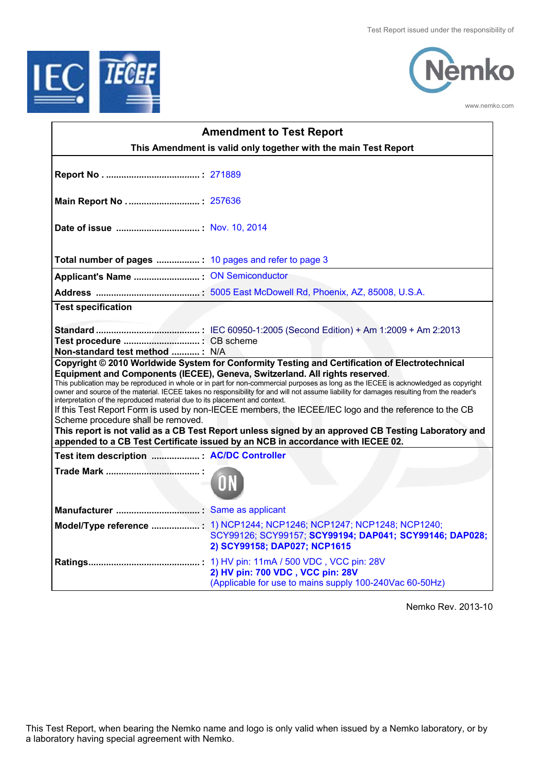



www.nemko.com

| <b>Amendment to Test Report</b>                                                                                                                                                                                                                                                                                                                                                                                                                                                                                                                                                                                                                                                                                                                                                                                                                                                            |                                                                                                                                                                   |  |  |  |
|--------------------------------------------------------------------------------------------------------------------------------------------------------------------------------------------------------------------------------------------------------------------------------------------------------------------------------------------------------------------------------------------------------------------------------------------------------------------------------------------------------------------------------------------------------------------------------------------------------------------------------------------------------------------------------------------------------------------------------------------------------------------------------------------------------------------------------------------------------------------------------------------|-------------------------------------------------------------------------------------------------------------------------------------------------------------------|--|--|--|
|                                                                                                                                                                                                                                                                                                                                                                                                                                                                                                                                                                                                                                                                                                                                                                                                                                                                                            | This Amendment is valid only together with the main Test Report                                                                                                   |  |  |  |
|                                                                                                                                                                                                                                                                                                                                                                                                                                                                                                                                                                                                                                                                                                                                                                                                                                                                                            |                                                                                                                                                                   |  |  |  |
|                                                                                                                                                                                                                                                                                                                                                                                                                                                                                                                                                                                                                                                                                                                                                                                                                                                                                            |                                                                                                                                                                   |  |  |  |
|                                                                                                                                                                                                                                                                                                                                                                                                                                                                                                                                                                                                                                                                                                                                                                                                                                                                                            |                                                                                                                                                                   |  |  |  |
|                                                                                                                                                                                                                                                                                                                                                                                                                                                                                                                                                                                                                                                                                                                                                                                                                                                                                            |                                                                                                                                                                   |  |  |  |
|                                                                                                                                                                                                                                                                                                                                                                                                                                                                                                                                                                                                                                                                                                                                                                                                                                                                                            |                                                                                                                                                                   |  |  |  |
|                                                                                                                                                                                                                                                                                                                                                                                                                                                                                                                                                                                                                                                                                                                                                                                                                                                                                            |                                                                                                                                                                   |  |  |  |
| <b>Test specification</b>                                                                                                                                                                                                                                                                                                                                                                                                                                                                                                                                                                                                                                                                                                                                                                                                                                                                  |                                                                                                                                                                   |  |  |  |
| Non-standard test method : N/A                                                                                                                                                                                                                                                                                                                                                                                                                                                                                                                                                                                                                                                                                                                                                                                                                                                             |                                                                                                                                                                   |  |  |  |
| Copyright © 2010 Worldwide System for Conformity Testing and Certification of Electrotechnical<br>Equipment and Components (IECEE), Geneva, Switzerland. All rights reserved.<br>This publication may be reproduced in whole or in part for non-commercial purposes as long as the IECEE is acknowledged as copyright<br>owner and source of the material. IECEE takes no responsibility for and will not assume liability for damages resulting from the reader's<br>interpretation of the reproduced material due to its placement and context.<br>If this Test Report Form is used by non-IECEE members, the IECEE/IEC logo and the reference to the CB<br>Scheme procedure shall be removed.<br>This report is not valid as a CB Test Report unless signed by an approved CB Testing Laboratory and<br>appended to a CB Test Certificate issued by an NCB in accordance with IECEE 02. |                                                                                                                                                                   |  |  |  |
| Test item description  : AC/DC Controller                                                                                                                                                                                                                                                                                                                                                                                                                                                                                                                                                                                                                                                                                                                                                                                                                                                  |                                                                                                                                                                   |  |  |  |
|                                                                                                                                                                                                                                                                                                                                                                                                                                                                                                                                                                                                                                                                                                                                                                                                                                                                                            |                                                                                                                                                                   |  |  |  |
|                                                                                                                                                                                                                                                                                                                                                                                                                                                                                                                                                                                                                                                                                                                                                                                                                                                                                            |                                                                                                                                                                   |  |  |  |
|                                                                                                                                                                                                                                                                                                                                                                                                                                                                                                                                                                                                                                                                                                                                                                                                                                                                                            | Model/Type reference : 1) NCP1244; NCP1246; NCP1247; NCP1248; NCP1240;<br>SCY99126; SCY99157; SCY99194; DAP041; SCY99146; DAP028;<br>2) SCY99158; DAP027; NCP1615 |  |  |  |
|                                                                                                                                                                                                                                                                                                                                                                                                                                                                                                                                                                                                                                                                                                                                                                                                                                                                                            | 2) HV pin: 700 VDC, VCC pin: 28V<br>(Applicable for use to mains supply 100-240Vac 60-50Hz)                                                                       |  |  |  |

Nemko Rev. 2013-10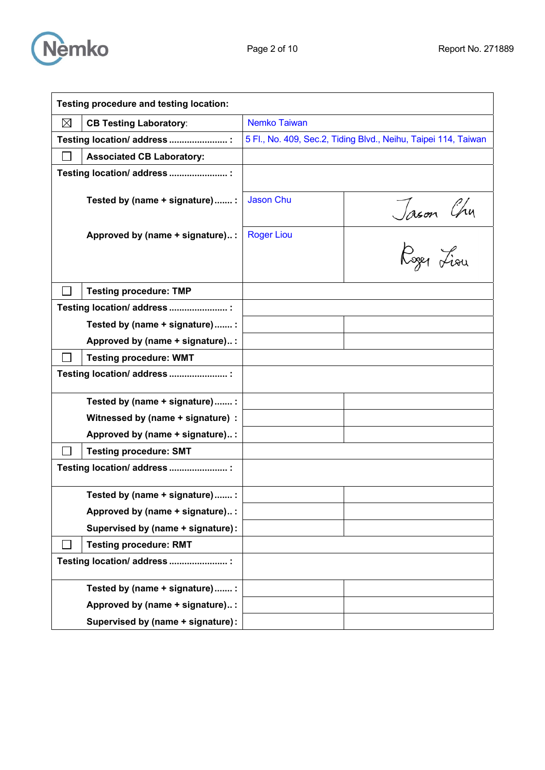

| Testing procedure and testing location: |                     |                                                                |  |
|-----------------------------------------|---------------------|----------------------------------------------------------------|--|
| ⊠<br><b>CB Testing Laboratory:</b>      | <b>Nemko Taiwan</b> |                                                                |  |
| Testing location/ address  :            |                     | 5 Fl., No. 409, Sec.2, Tiding Blvd., Neihu, Taipei 114, Taiwan |  |
| <b>Associated CB Laboratory:</b>        |                     |                                                                |  |
| Testing location/ address  :            |                     |                                                                |  |
| Tested by (name + signature)  :         | Jason Chu           |                                                                |  |
| Approved by (name + signature):         | <b>Roger Liou</b>   | Jason Chu<br>Roger Liou                                        |  |
| <b>Testing procedure: TMP</b>           |                     |                                                                |  |
| Testing location/ address  :            |                     |                                                                |  |
| Tested by (name + signature)  :         |                     |                                                                |  |
| Approved by (name + signature):         |                     |                                                                |  |
| <b>Testing procedure: WMT</b>           |                     |                                                                |  |
| Testing location/ address  :            |                     |                                                                |  |
| Tested by (name + signature)  :         |                     |                                                                |  |
| Witnessed by (name + signature) :       |                     |                                                                |  |
| Approved by (name + signature) :        |                     |                                                                |  |
| <b>Testing procedure: SMT</b>           |                     |                                                                |  |
| Testing location/ address  :            |                     |                                                                |  |
| Tested by (name + signature)  :         |                     |                                                                |  |
| Approved by (name + signature):         |                     |                                                                |  |
| Supervised by (name + signature):       |                     |                                                                |  |
| <b>Testing procedure: RMT</b>           |                     |                                                                |  |
| Testing location/ address  :            |                     |                                                                |  |
| Tested by (name + signature)  :         |                     |                                                                |  |
| Approved by (name + signature) :        |                     |                                                                |  |
| Supervised by (name + signature):       |                     |                                                                |  |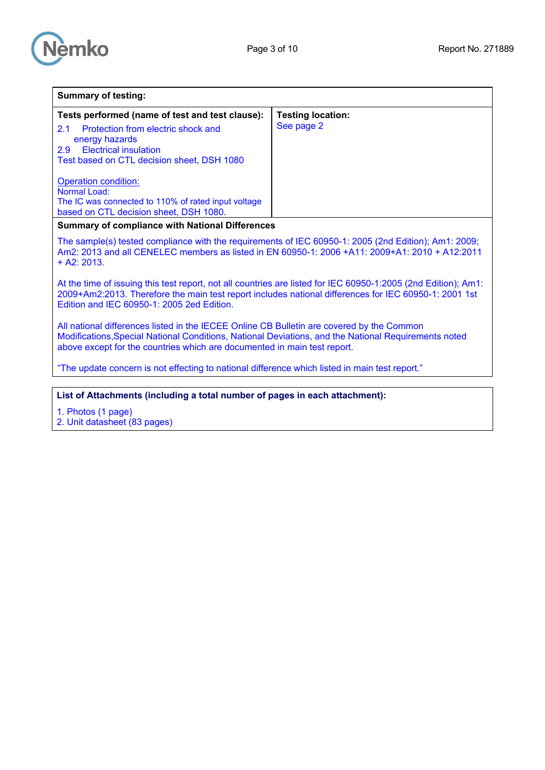

| <b>Summary of testing:</b>                                                                                                                                                                                                                                                                                                                          |                                        |  |
|-----------------------------------------------------------------------------------------------------------------------------------------------------------------------------------------------------------------------------------------------------------------------------------------------------------------------------------------------------|----------------------------------------|--|
| Tests performed (name of test and test clause):<br>Protection from electric shock and<br>2.1<br>energy hazards<br>2.9<br><b>Electrical insulation</b><br>Test based on CTL decision sheet, DSH 1080<br><b>Operation condition:</b><br>Normal Load:<br>The IC was connected to 110% of rated input voltage<br>based on CTL decision sheet, DSH 1080. | <b>Testing location:</b><br>See page 2 |  |
| <b>Summary of compliance with National Differences</b>                                                                                                                                                                                                                                                                                              |                                        |  |
| The sample(s) tested compliance with the requirements of IEC 60950-1: 2005 (2nd Edition); Am1: 2009;<br>Am2: 2013 and all CENELEC members as listed in EN 60950-1: 2006 +A11: 2009+A1: 2010 + A12:2011<br>$+$ A2: 2013.                                                                                                                             |                                        |  |
| At the time of issuing this test report, not all countries are listed for IEC 60950-1:2005 (2nd Edition); Am1:<br>2009+Am2:2013. Therefore the main test report includes national differences for IEC 60950-1: 2001 1st<br>Edition and IEC 60950-1: 2005 2ed Edition.                                                                               |                                        |  |
| All national differences listed in the IECEE Online CB Bulletin are covered by the Common<br>Modifications, Special National Conditions, National Deviations, and the National Requirements noted<br>above except for the countries which are documented in main test report.                                                                       |                                        |  |
| "The update concern is not effecting to national difference which listed in main test report."                                                                                                                                                                                                                                                      |                                        |  |
|                                                                                                                                                                                                                                                                                                                                                     |                                        |  |
| List of Attachments (including a total number of pages in each attachment):                                                                                                                                                                                                                                                                         |                                        |  |
| 1. Photos (1 page)<br>2. Unit datasheet (83 pages)                                                                                                                                                                                                                                                                                                  |                                        |  |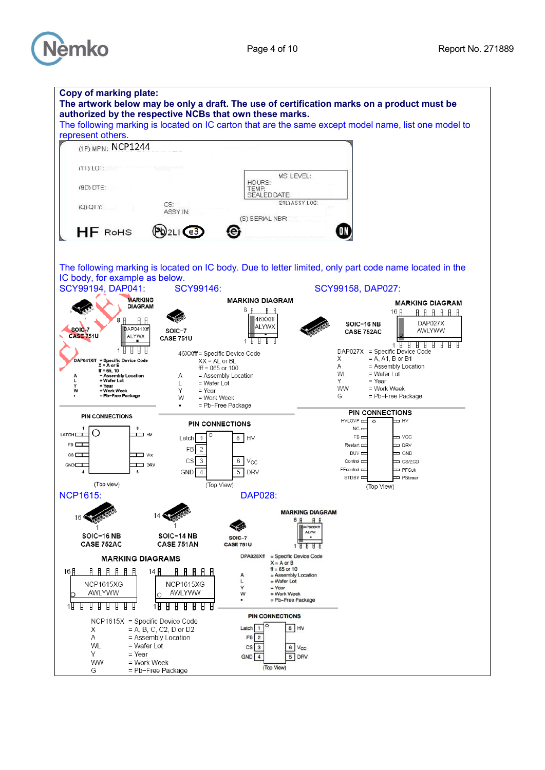

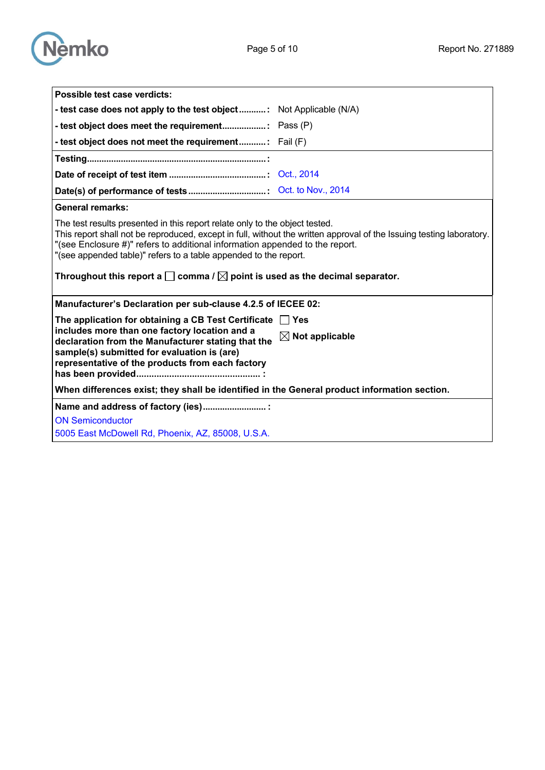



| Possible test case verdicts:                                                                                                                                                                                                                                                                                                                                                                                                                            |                            |  |  |
|---------------------------------------------------------------------------------------------------------------------------------------------------------------------------------------------------------------------------------------------------------------------------------------------------------------------------------------------------------------------------------------------------------------------------------------------------------|----------------------------|--|--|
| - test case does not apply to the test object Not Applicable (N/A)                                                                                                                                                                                                                                                                                                                                                                                      |                            |  |  |
|                                                                                                                                                                                                                                                                                                                                                                                                                                                         |                            |  |  |
| - test object does not meet the requirement: Fail (F)                                                                                                                                                                                                                                                                                                                                                                                                   |                            |  |  |
|                                                                                                                                                                                                                                                                                                                                                                                                                                                         |                            |  |  |
|                                                                                                                                                                                                                                                                                                                                                                                                                                                         |                            |  |  |
|                                                                                                                                                                                                                                                                                                                                                                                                                                                         |                            |  |  |
| <b>General remarks:</b>                                                                                                                                                                                                                                                                                                                                                                                                                                 |                            |  |  |
| The test results presented in this report relate only to the object tested.<br>This report shall not be reproduced, except in full, without the written approval of the Issuing testing laboratory.<br>"(see Enclosure #)" refers to additional information appended to the report.<br>"(see appended table)" refers to a table appended to the report.<br>Throughout this report a $\square$ comma / $\square$ point is used as the decimal separator. |                            |  |  |
|                                                                                                                                                                                                                                                                                                                                                                                                                                                         |                            |  |  |
| Manufacturer's Declaration per sub-clause 4.2.5 of IECEE 02:                                                                                                                                                                                                                                                                                                                                                                                            |                            |  |  |
| The application for obtaining a CB Test Certificate $\Box$ Yes                                                                                                                                                                                                                                                                                                                                                                                          |                            |  |  |
| includes more than one factory location and a<br>declaration from the Manufacturer stating that the<br>sample(s) submitted for evaluation is (are)<br>representative of the products from each factory                                                                                                                                                                                                                                                  | $\boxtimes$ Not applicable |  |  |
| When differences exist; they shall be identified in the General product information section.                                                                                                                                                                                                                                                                                                                                                            |                            |  |  |
| Name and address of factory (ies)                                                                                                                                                                                                                                                                                                                                                                                                                       |                            |  |  |
| <b>ON Semiconductor</b>                                                                                                                                                                                                                                                                                                                                                                                                                                 |                            |  |  |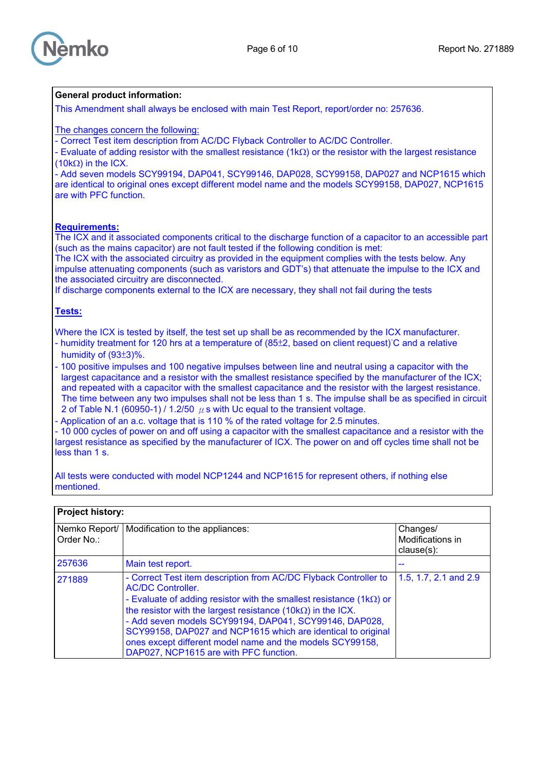

## **General product information:**

This Amendment shall always be enclosed with main Test Report, report/order no: 257636.

The changes concern the following:

- Correct Test item description from AC/DC Flyback Controller to AC/DC Controller.

- Evaluate of adding resistor with the smallest resistance (1kΩ) or the resistor with the largest resistance (10kΩ) in the ICX.

- Add seven models SCY99194, DAP041, SCY99146, DAP028, SCY99158, DAP027 and NCP1615 which are identical to original ones except different model name and the models SCY99158, DAP027, NCP1615 are with PFC function.

## **Requirements:**

The ICX and it associated components critical to the discharge function of a capacitor to an accessible part (such as the mains capacitor) are not fault tested if the following condition is met:

The ICX with the associated circuitry as provided in the equipment complies with the tests below. Any impulse attenuating components (such as varistors and GDT's) that attenuate the impulse to the ICX and the associated circuitry are disconnected.

If discharge components external to the ICX are necessary, they shall not fail during the tests

## **Tests:**

Where the ICX is tested by itself, the test set up shall be as recommended by the ICX manufacturer. - humidity treatment for 120 hrs at a temperature of (85±2, based on client request)°C and a relative humidity of (93±3)%.

- 100 positive impulses and 100 negative impulses between line and neutral using a capacitor with the largest capacitance and a resistor with the smallest resistance specified by the manufacturer of the ICX; and repeated with a capacitor with the smallest capacitance and the resistor with the largest resistance. The time between any two impulses shall not be less than 1 s. The impulse shall be as specified in circuit 2 of Table N.1 (60950-1) / 1.2/50  $\mu$  s with Uc equal to the transient voltage.

Application of an a.c. voltage that is 110 % of the rated voltage for 2.5 minutes.

- 10 000 cycles of power on and off using a capacitor with the smallest capacitance and a resistor with the largest resistance as specified by the manufacturer of ICX. The power on and off cycles time shall not be less than 1 s.

All tests were conducted with model NCP1244 and NCP1615 for represent others, if nothing else mentioned.

| Order No.: | Nemko Report/   Modification to the appliances:                                                                                                                                                                                                                                                                                                                                                                                                                                   | Changes/<br>Modifications in<br>$clause(s)$ : |
|------------|-----------------------------------------------------------------------------------------------------------------------------------------------------------------------------------------------------------------------------------------------------------------------------------------------------------------------------------------------------------------------------------------------------------------------------------------------------------------------------------|-----------------------------------------------|
| 257636     | Main test report.                                                                                                                                                                                                                                                                                                                                                                                                                                                                 |                                               |
| 271889     | - Correct Test item description from AC/DC Flyback Controller to<br><b>AC/DC Controller.</b><br>- Evaluate of adding resistor with the smallest resistance $(1k\Omega)$ or<br>the resistor with the largest resistance $(10k\Omega)$ in the ICX.<br>- Add seven models SCY99194, DAP041, SCY99146, DAP028,<br>SCY99158, DAP027 and NCP1615 which are identical to original<br>ones except different model name and the models SCY99158,<br>DAP027, NCP1615 are with PFC function. | 1.5, 1.7, 2.1 and 2.9                         |

## **Project history:**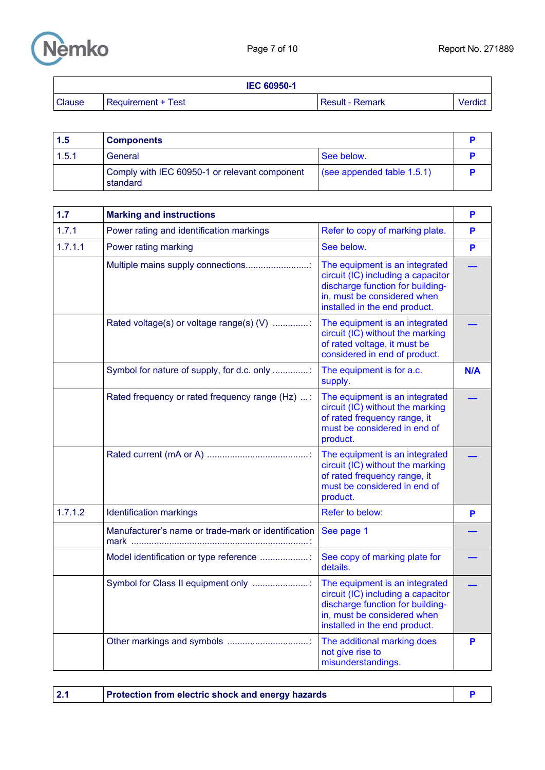

|               | <b>IEC 60950-1</b> |                        |                |
|---------------|--------------------|------------------------|----------------|
| <b>Clause</b> | Requirement + Test | <b>Result - Remark</b> | <b>Verdict</b> |

| 1.5   | <b>Components</b>                                         |                                    |  |
|-------|-----------------------------------------------------------|------------------------------------|--|
| 1.5.1 | See below.<br>General                                     |                                    |  |
|       | Comply with IEC 60950-1 or relevant component<br>standard | $\left($ see appended table 1.5.1) |  |

| 1.7     | <b>Marking and instructions</b>                     |                                                                                                                                                                          | P   |
|---------|-----------------------------------------------------|--------------------------------------------------------------------------------------------------------------------------------------------------------------------------|-----|
| 1.7.1   | Power rating and identification markings            | Refer to copy of marking plate.                                                                                                                                          | P   |
| 1.7.1.1 | Power rating marking                                | See below.                                                                                                                                                               | P   |
|         | Multiple mains supply connections                   | The equipment is an integrated<br>circuit (IC) including a capacitor<br>discharge function for building-<br>in, must be considered when<br>installed in the end product. |     |
|         | Rated voltage(s) or voltage range(s) (V) :          | The equipment is an integrated<br>circuit (IC) without the marking<br>of rated voltage, it must be<br>considered in end of product.                                      |     |
|         | Symbol for nature of supply, for d.c. only          | The equipment is for a.c.<br>supply.                                                                                                                                     | N/A |
|         | Rated frequency or rated frequency range (Hz) :     | The equipment is an integrated<br>circuit (IC) without the marking<br>of rated frequency range, it<br>must be considered in end of<br>product.                           |     |
|         |                                                     | The equipment is an integrated<br>circuit (IC) without the marking<br>of rated frequency range, it<br>must be considered in end of<br>product.                           |     |
| 1.7.1.2 | <b>Identification markings</b>                      | Refer to below:                                                                                                                                                          | P   |
|         | Manufacturer's name or trade-mark or identification | See page 1                                                                                                                                                               |     |
|         | Model identification or type reference :            | See copy of marking plate for<br>details.                                                                                                                                |     |
|         | Symbol for Class II equipment only                  | The equipment is an integrated<br>circuit (IC) including a capacitor<br>discharge function for building-<br>in, must be considered when<br>installed in the end product. |     |
|         |                                                     | The additional marking does<br>not give rise to<br>misunderstandings.                                                                                                    | P   |

| <b>Protection from electric shock and energy hazards</b> |  |
|----------------------------------------------------------|--|
|----------------------------------------------------------|--|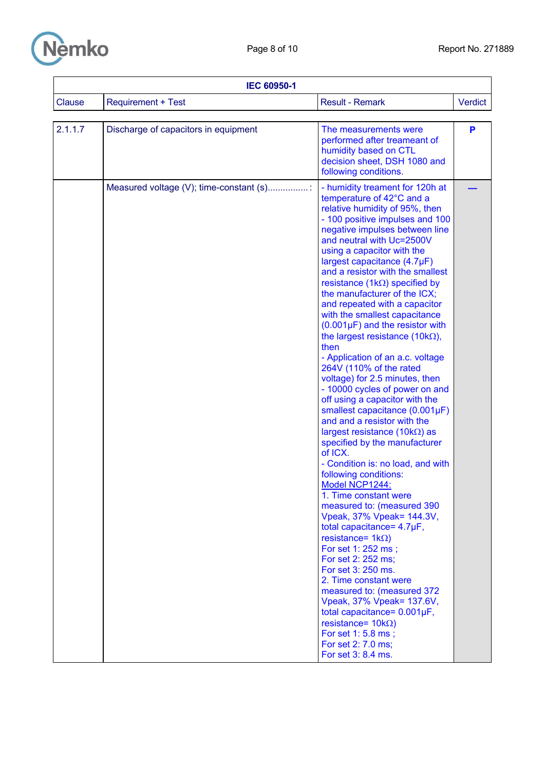

| <b>IEC 60950-1</b> |                                         |                                                                                                                                                                                                                                                                                                                                                                                                                                                                                                                                                                                                                                                                                                                                                                                                                                                                                                                                                                                                                                                                                                                                                                                                                                                                                                                                                                                                  |         |
|--------------------|-----------------------------------------|--------------------------------------------------------------------------------------------------------------------------------------------------------------------------------------------------------------------------------------------------------------------------------------------------------------------------------------------------------------------------------------------------------------------------------------------------------------------------------------------------------------------------------------------------------------------------------------------------------------------------------------------------------------------------------------------------------------------------------------------------------------------------------------------------------------------------------------------------------------------------------------------------------------------------------------------------------------------------------------------------------------------------------------------------------------------------------------------------------------------------------------------------------------------------------------------------------------------------------------------------------------------------------------------------------------------------------------------------------------------------------------------------|---------|
| <b>Clause</b>      | <b>Requirement + Test</b>               | <b>Result - Remark</b>                                                                                                                                                                                                                                                                                                                                                                                                                                                                                                                                                                                                                                                                                                                                                                                                                                                                                                                                                                                                                                                                                                                                                                                                                                                                                                                                                                           | Verdict |
| 2.1.1.7            | Discharge of capacitors in equipment    | The measurements were<br>performed after treameant of<br>humidity based on CTL<br>decision sheet, DSH 1080 and<br>following conditions.                                                                                                                                                                                                                                                                                                                                                                                                                                                                                                                                                                                                                                                                                                                                                                                                                                                                                                                                                                                                                                                                                                                                                                                                                                                          | P       |
|                    | Measured voltage (V); time-constant (s) | - humidity treament for 120h at<br>temperature of 42°C and a<br>relative humidity of 95%, then<br>- 100 positive impulses and 100<br>negative impulses between line<br>and neutral with Uc=2500V<br>using a capacitor with the<br>largest capacitance (4.7µF)<br>and a resistor with the smallest<br>resistance (1 $k\Omega$ ) specified by<br>the manufacturer of the ICX;<br>and repeated with a capacitor<br>with the smallest capacitance<br>$(0.001\,\mu\text{F})$ and the resistor with<br>the largest resistance (10k $\Omega$ ),<br>then<br>- Application of an a.c. voltage<br>264V (110% of the rated<br>voltage) for 2.5 minutes, then<br>- 10000 cycles of power on and<br>off using a capacitor with the<br>smallest capacitance (0.001µF)<br>and and a resistor with the<br>largest resistance $(10k\Omega)$ as<br>specified by the manufacturer<br>of ICX.<br>- Condition is: no load, and with<br>following conditions:<br>Model NCP1244:<br>1. Time constant were<br>measured to: (measured 390<br>Vpeak, 37% Vpeak= 144.3V,<br>total capacitance= 4.7µF,<br>resistance= $1k\Omega$ )<br>For set 1: 252 ms;<br>For set 2: 252 ms;<br>For set 3: 250 ms.<br>2. Time constant were<br>measured to: (measured 372<br>Vpeak, 37% Vpeak= 137.6V,<br>total capacitance= $0.001\mu F$ ,<br>resistance= $10k\Omega$ )<br>For set 1: 5.8 ms;<br>For set 2: 7.0 ms;<br>For set 3: 8.4 ms. |         |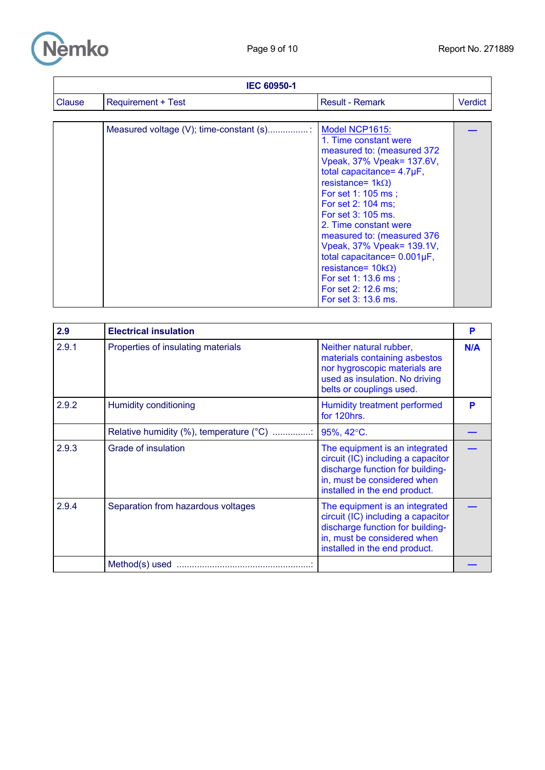

| <b>IEC 60950-1</b> |                                         |                                                                                                                                                                                                                                                                                                                                                                                                                                                          |         |
|--------------------|-----------------------------------------|----------------------------------------------------------------------------------------------------------------------------------------------------------------------------------------------------------------------------------------------------------------------------------------------------------------------------------------------------------------------------------------------------------------------------------------------------------|---------|
| Clause             | <b>Requirement + Test</b>               | <b>Result - Remark</b>                                                                                                                                                                                                                                                                                                                                                                                                                                   | Verdict |
|                    |                                         |                                                                                                                                                                                                                                                                                                                                                                                                                                                          |         |
|                    | Measured voltage (V); time-constant (s) | Model NCP1615:<br>1. Time constant were<br>measured to: (measured 372<br>Vpeak, 37% Vpeak= 137.6V,<br>total capacitance= 4.7µF,<br>resistance= $1k\Omega$ )<br>For set 1: 105 ms;<br>For set 2: 104 ms;<br>For set 3: 105 ms.<br>2. Time constant were<br>measured to: (measured 376<br>Vpeak, 37% Vpeak= 139.1V,<br>total capacitance= $0.001\mu F$ ,<br>resistance= $10k\Omega$ )<br>For set 1: 13.6 ms;<br>For set 2: 12.6 ms;<br>For set 3: 13.6 ms. |         |

| 2.9   | <b>Electrical insulation</b>            |                                                                                                                                                                          | P   |
|-------|-----------------------------------------|--------------------------------------------------------------------------------------------------------------------------------------------------------------------------|-----|
| 2.9.1 | Properties of insulating materials      | Neither natural rubber,<br>materials containing asbestos<br>nor hygroscopic materials are<br>used as insulation. No driving<br>belts or couplings used.                  | N/A |
| 2.9.2 | Humidity conditioning                   | Humidity treatment performed<br>for 120hrs.                                                                                                                              | P   |
|       | Relative humidity (%), temperature (°C) | 95%, 42°C.                                                                                                                                                               |     |
| 2.9.3 | Grade of insulation                     | The equipment is an integrated<br>circuit (IC) including a capacitor<br>discharge function for building-<br>in, must be considered when<br>installed in the end product. |     |
| 2.9.4 | Separation from hazardous voltages      | The equipment is an integrated<br>circuit (IC) including a capacitor<br>discharge function for building-<br>in, must be considered when<br>installed in the end product. |     |
|       |                                         |                                                                                                                                                                          |     |